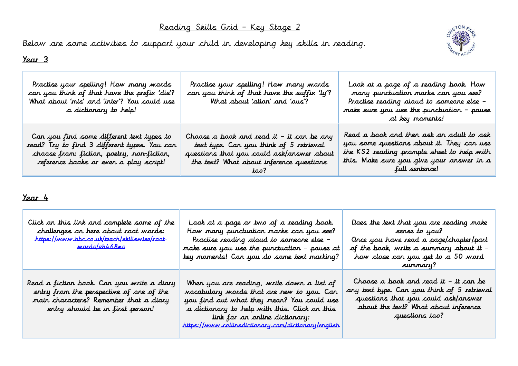## Reading Skills Grid – Key Stage 2

Below are some activities to support your child in developing key skills in reading.



#### Year 3

| Practise your spelling! How many words<br>can you think of that have the prefix 'dis'?<br>What about 'mis' and 'inter'? You could use<br>a dictionary to help!                    | Practise your spelling! How many words<br>can you think of that have the suffix 'ly'?<br>What about 'ation' and 'ous'?                                                        | Look at a page of a reading book. How<br>many punctuation marks can you see?<br>Practise reading aloud to someone else -<br>make sure you use the punctuation - pause<br>at key maments!           |
|-----------------------------------------------------------------------------------------------------------------------------------------------------------------------------------|-------------------------------------------------------------------------------------------------------------------------------------------------------------------------------|----------------------------------------------------------------------------------------------------------------------------------------------------------------------------------------------------|
| Can you find some different text types to<br>read? Try to find 3 different types. You can<br>choose from: fiction, poetry, ron-fiction,<br>reference books or even a play script! | Choose a book and read it – it can be any<br>text type. Can you think of 5 retrieval<br>questions that you could ask/answer about<br>the text? What about inference questions | Read a book and then ask an adult to ask<br>you some questions about it. They can use<br>the KS2 reading prompts sheet to help with<br>this. Make sure you give your answer in a<br>full sentence! |

#### Year 4

| Click on this link and complete some of the<br>challenges on here about root words:<br><u>https://www.bbc.co.uk/teach/skillswise/root-</u><br><u>wards/eh468xs</u>   | Look at a page or two of a reading book.<br>How many punctuation marks can you see?<br>Practise reading aloud to someone else -<br>make sure you use the punctuation - pause at<br>key moments! Can you do some text marking?                                                           | Does the text that you are reading make<br>sense to you?<br>Once you have read a page/chapter/part<br>of the book, write a summary about it –<br>how close can you get to a 50 word<br>summary? |
|----------------------------------------------------------------------------------------------------------------------------------------------------------------------|-----------------------------------------------------------------------------------------------------------------------------------------------------------------------------------------------------------------------------------------------------------------------------------------|-------------------------------------------------------------------------------------------------------------------------------------------------------------------------------------------------|
| Read a fiction book. Can you write a diary<br>entry from the perspective of one of the<br>main characters? Remember that a diary<br>entry should be in first person! | When you are reading, write down a list of<br><i>vocabulary words that are new to you. Can</i><br>you find out what they mean? You could use<br>a dictionary to help with this. Click on this<br>link for an online dictionary:<br>https://www.collinsdictionary.com/dictionary/english | Choose a book and read it – it can be<br>any text type. Can you think of 5 retrieval<br>questions that you could ask/answer<br>about the text? What about inference<br>questions too?           |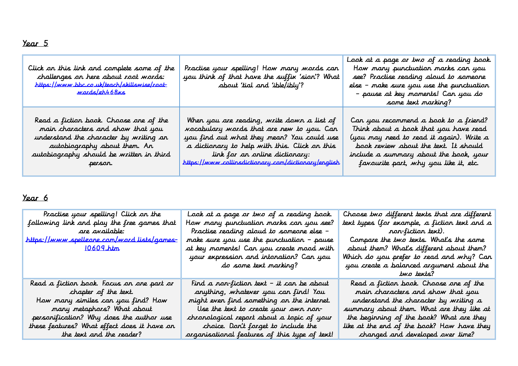# Year 5

| Click on this link and complete some of the<br>challenges on here about root words:<br>https://www.bbc.co.uk/teach/skillswise/root-<br><u>wards/eh468xs</u> | Practise your spelling! How many words can<br>you think of that have the suffix 'sion'? What<br>about 'tial and 'ible/ibly'? | Look at a page or two of a reading book.<br>How many punctuation marks can you<br>see? Practise reading aloud to someone<br>else – make sure you use the punctuation<br>– pause at key moments! Can you do<br>some text marking? |
|-------------------------------------------------------------------------------------------------------------------------------------------------------------|------------------------------------------------------------------------------------------------------------------------------|----------------------------------------------------------------------------------------------------------------------------------------------------------------------------------------------------------------------------------|
| Read a fiction book. Choose one of the                                                                                                                      | When you are reading, write down a list of                                                                                   | Can you recommend a book to a friend?                                                                                                                                                                                            |
| main characters and show that you                                                                                                                           | <i>voc</i> abulary words that are new to you. Can                                                                            | Think about a book that you have read                                                                                                                                                                                            |
| understand the character by writing an                                                                                                                      | you find out what they mean? You could use                                                                                   | (you may reed to read it again). Write a                                                                                                                                                                                         |
| autobiography about them. An                                                                                                                                | a dictionary to help with this. Click on this                                                                                | book review about the text. It should                                                                                                                                                                                            |
| autobiography should be written in third                                                                                                                    | link for an online dictionary:                                                                                               | include a summary about the book, your                                                                                                                                                                                           |
| person.                                                                                                                                                     | https://www.collinsdictionary.com/dictionary/english                                                                         | favourite part, why you like it, etc.                                                                                                                                                                                            |

## Year 6

| Practise your spelling! Click on the<br>following link and play the free games that<br>are available:<br><u>https://www.spellzone.com/word lists/games-</u><br><u>10609.htm</u> | Look at a page or two of a reading book.<br>How many punctuation marks can you see?<br>- Practise reading aloud to someone else<br>make sure you use the punctuation – pause<br>at key moments! Can you create mood with<br>your expression and intonation? Can you<br>do some text marking? | Choose two different texts that are different<br>text types (for example, a fiction text and a<br>ror-fiction text).<br>Compare the two texts. Whal's the same<br>about them? What's different about them?<br>Which do you prefer to read and why? Can<br>you create a balanced argument about the<br>two texts? |
|---------------------------------------------------------------------------------------------------------------------------------------------------------------------------------|----------------------------------------------------------------------------------------------------------------------------------------------------------------------------------------------------------------------------------------------------------------------------------------------|------------------------------------------------------------------------------------------------------------------------------------------------------------------------------------------------------------------------------------------------------------------------------------------------------------------|
| Read a fiction book. Focus on one part or                                                                                                                                       | Find a ron-fiction text – it can be about                                                                                                                                                                                                                                                    | Read a fiction book. Choose one of the                                                                                                                                                                                                                                                                           |
| chapter of the text.                                                                                                                                                            | anything, whatever you can find! You                                                                                                                                                                                                                                                         | main characters and show that you                                                                                                                                                                                                                                                                                |
| How many similes can you find? How                                                                                                                                              | might even find something on the internet.                                                                                                                                                                                                                                                   | understand the character by writing a                                                                                                                                                                                                                                                                            |
| many metaphars? What about                                                                                                                                                      | Use the text to create your own non-                                                                                                                                                                                                                                                         | summary about them. What are they like at                                                                                                                                                                                                                                                                        |
| personification? Why does the author use                                                                                                                                        | chronological report about a topic of your                                                                                                                                                                                                                                                   | the beginning of the book? What are they                                                                                                                                                                                                                                                                         |
| these features? What effect does it have on                                                                                                                                     | choice. Don't forget to include the                                                                                                                                                                                                                                                          | like at the end of the book? How have they                                                                                                                                                                                                                                                                       |
| the text and the reader?                                                                                                                                                        | arganisational features of this type of text!                                                                                                                                                                                                                                                | changed and developed over time?                                                                                                                                                                                                                                                                                 |